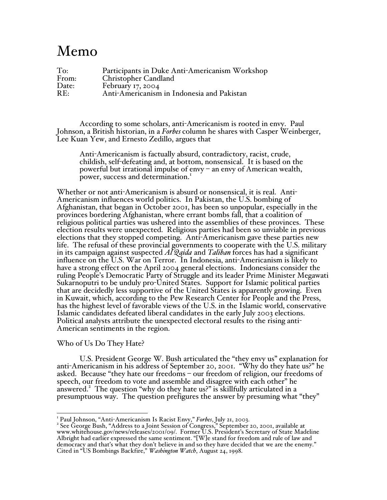# Memo

| To:   | Participants in Duke Anti-Americanism Workshop |
|-------|------------------------------------------------|
| From: | Christopher Candland                           |
| Date: | February 17, 2004                              |
| RE:   | Anti-Americanism in Indonesia and Pakistan     |

According to some scholars, anti-Americanism is rooted in envy. Paul Johnson, <sup>a</sup> British historian, in <sup>a</sup> *Forbes* column he shares with Casper Weinberger, Lee Kuan Yew, and Ernesto Zedillo, argues that

Anti-Americanism is factually absurd, contradictory, racist, crude, childish, self-defeating and, at bottom, nonsensical. It is based on the powerful but irrational impulse of envy – an envy of American wealth, power, success and determination.<sup>1</sup>

Whether or not anti-Americanism is absurd or nonsensical, it is real. Anti-Americanism influences world politics. In Pakistan, the U.S. bombing of Afghanistan, that began in October 2001, has been so unpopular, especially in the provinces bordering Afghanistan, where errant bombs fall, that a coalition of religious political parties was ushered into the assemblies of these provinces. These election results were unexpected. Religious parties had been so unviable in previous elections that they stopped competing. Anti-Americanism gave these parties new life. The refusal of these provincial governments to cooperate with the U.S. military in its campaign against suspected *Al Qaida* and *Taliban* forces has had a significant influence on the U.S. War on Terror. In Indonesia, anti-Americanism is likely to have a strong effect on the April 2004 general elections. Indonesians consider the ruling People's Democratic Party of Struggle and its leader Prime Minister Megawati Sukarnoputri to be unduly pro-United States. Support for Islamic political parties that are decidedly less supportive of the United States is apparently growing. Even in Kuwait, which, according to the Pew Research Center for People and the Press, has the highest level of favorable views of the U.S. in the Islamic world, conservative Islamic candidates defeated liberal candidates in the early July 2003 elections. Political analysts attribute the unexpected electoral results to the rising anti-American sentiments in the region.

## Who of Us Do They Hate?

U.S. President George W. Bush articulated the "they envy us" explanation for anti-Americanism in his address of September 20, 2001. "Why do they hate us?" he asked. Because "they hate our freedoms – our freedom of religion, our freedoms of speech, our freedom to vote and assemble and disagree with each other" he answered. <sup>2</sup> The question "why do they hate us?" is skillfully articulated in a presumptuous way. The question prefigures the answer by presuming what "they"

<sup>&</sup>lt;sup>1</sup> Paul Johnson, "Anti-Americanism Is Racist Envy," *Forbes*, July 21, 2003.<br><sup>2</sup> See George Bush, "Address to a Joint Session of Congress," September 20, 2001, available at www.whitehouse.gov/news/releases/2001/09/. Former U.S. President's Secretary of State Madeline Albright had earlier expressed the same sentiment. "[W]e stand for freedom and rule of law and democracy and that's what they don't believe in and so they have decided that we are the enemy." Cited in "US Bombings Backfire," *Washington Watch*, August 24, 1998.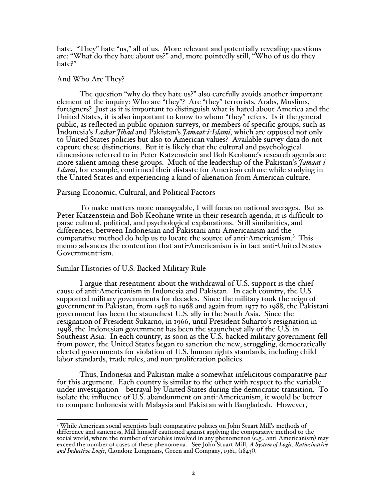hate. "They" hate "us," all of us. More relevant and potentially revealing questions are: "What do they hate about us?" and, more pointedly still, "Who of us do they hate?"

## And Who Are They?

The question "why do they hate us?" also carefully avoids another important element of the inquiry: Who are "they"? Are "they" terrorists, Arabs, Muslims, foreigners? Just as it is important to distinguish what is hated about America and the United States, it is also important to know to whom "they" refers. Is it the general public, as reflected in public opinion surveys, or members of specific groups, such as Indonesia's *Laskar Jihad* and Pakistan's *Jamaat-i-Islami*, which are opposed not only to United States policies but also to American values? Available survey data do not capture these distinctions. But it is likely that the cultural and psychological dimensions referred to in Peter Katzenstein and Bob Keohane's research agenda are<br>more salient among these groups. Much of the leadership of the Pakistan's *Jamaat-i*-*Islami*, for example, confirmed their distaste for American culture while studying in the United States and experiencing a kind of alienation from American culture.

#### Parsing Economic, Cultural, and Political Factors

To make matters more manageable, I will focus on national averages. But as Peter Katzenstein and Bob Keohane write in their research agenda, it is difficult to parse cultural, political, and psychological explanations. Still similarities, and differences, between Indonesian and Pakistani anti-Americanism and the comparative method do help us to locate the source of anti-Americanism. <sup>3</sup> This memo advances the contention that anti-Americanism is in fact anti-United States Government-ism.

#### Similar Histories of U.S. Backed-Military Rule

I argue that resentment about the withdrawal of U.S. support is the chief cause of anti-Americanism in Indonesia and Pakistan. In each country, the U.S. supported military governments for decades. Since the military took the reign of government in Pakistan, from 1958 to 1968 and again from 1977 to 1988, the Pakistani government has been the staunchest U.S. ally in the South Asia. Since the resignation of President Sukarno, in 1966, until President Suharto's resignation in 1998, the Indonesian government has been the staunchest ally of the U.S. in Southeast Asia. In each country, as soon as the U.S. backed military government fell from power, the United States began to sanction the new, struggling, democratically elected governments for violation of U.S. human rights standards, including child labor standards, trade rules, and non-proliferation policies.

Thus, Indonesia and Pakistan make a somewhat infelicitous comparative pair for this argument. Each country is similar to the other with respect to the variable under investigation – betrayal by United States during the democratic transition. To isolate the influence of U.S. abandonment on anti-Americanism, it would be better to compare Indonesia with Malaysia and Pakistan with Bangladesh. However,

<sup>&</sup>lt;sup>3</sup> While American social scientists built comparative politics on John Stuart Mill's methods of difference and sameness, Mill himself cautioned against applying the comparative method to the social world, where the number of variables involved in any phenomenon (e.g., anti-Americanism) may exceed the number of cases of these phenomena. See John Stuart Mill, *A System of Logic, Ratiocinative and Inductive Logic*, (London: Longmans, Green and Company, 1961, (1843)).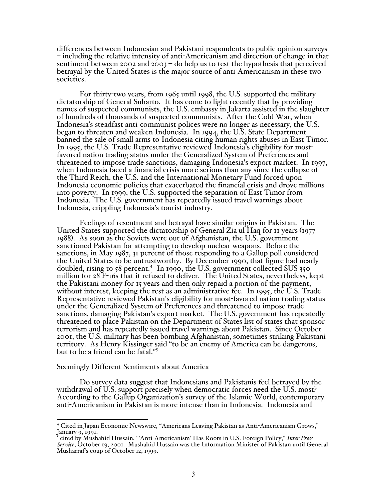differences between Indonesian and Pakistani respondents to public opinion surveys – including the relative intensity of anti-Americanism and direction of change in that sentiment between 2002 and 2003 – do help us to test the hypothesis that perceived betrayal by the United States is the major source of anti-Americanism in these two societies.

For thirty-two years, from <sup>1965</sup> until 1998, the U.S. supported the military dictatorship of General Suharto. It has come to light recently that by providing names of suspected communists, the U.S. embassy in Jakarta assisted in the slaughter of hundreds of thousands of suspected communists. After the Cold War, when<br>Indonesia's steadfast anti-communist polices were no longer as necessary, the U.S. began to threaten and weaken Indonesia. In 1994, the U.S. State Department banned the sale of small arms to Indonesia citing human rights abuses in East Timor.<br>In 1995, the U.S. Trade Representative reviewed Indonesia's eligibility for most-<br>favored nation trading status under the Generalized Sys threatened to impose trade sanctions, damaging Indonesia'<sup>s</sup> export market. In 1997, when Indonesia faced <sup>a</sup> financial crisis more serious than any since the collapse of the Third Reich, the U.S. and the International Monetary Fund forced upon Indonesia economic policies that exacerbated the financial crisis and drove millions into poverty. In 1999, the U.S. supported the separation of East Timor from Indonesia. The U.S. government has repeatedly issued travel warnings about Indonesia, crippling Indonesia's tourist industry.

Feelings of resentment and betrayal have similar origins in Pakistan. The United States supported the dictatorship of General Zia ul Haq for <sup>11</sup> years (1977- <sup>1988</sup>). As soon as the Soviets were out of Afghanistan, the U.S. government sanctioned Pakistan for attempting to develop nuclear weapons. Before the sanctions, in May 1987, 31 percent of those responding to a Gallup poll considered the United States to be untrustworthy. By December 1990, that figure had nearly the United States to be untrustworthy. By December 1990, that figure had nearly doubled, rising to <sup>58</sup> percent. <sup>4</sup> In 1990, the U.S. government collected \$US 350 million for 28 F-16s that it refused to deliver. The United States, nevertheless, kept the Pakistani money for 15 years and then only repaid a portion of the payment, without interest, keeping the rest as an administrative fee. In 1995, the U.S. Trade Representative reviewed Pakistan's eligibility for most-favored nation trading status under the Generalized System of Preferences and threatened to impose trade sanctions, damaging Pakistan's export market. The U.S. government has repeatedly threatened to place Pakistan on the Department of States list of states that sponsor terrorism and has repeatedly issued travel warnings about Pakistan. Since October 2001, the U.S. military has been bombing Afghanistan, sometimes striking Pakistani territory. As Henry Kissinger said "to be an enemy of America can be dangerous, but to be a friend can be fatal." 5

## Seemingly Different Sentiments about America

Do survey data suggest that Indonesians and Pakistanis feel betrayed by the withdrawal of U.S. support precisely when democratic forces need the U.S. most? According to the Gallup Organization's survey of the Islamic World, contemporary anti-Americanism in Pakistan is more intense than in Indonesia. Indonesia and

<sup>4</sup> Cited in Japan Economic Newswire, "Americans Leaving Pakistan as Anti-Americanism Grows,"

<sup>&</sup>lt;sup>5</sup> cited by Mushahid Hussain, "'Anti-Americanism' Has Roots in U.S. Foreign Policy," *Inter Press Service*, October 19, 2001. Mushahid Hussain was the Information Minister of Pakistan until General Musharraf's coup of October 12, 1999.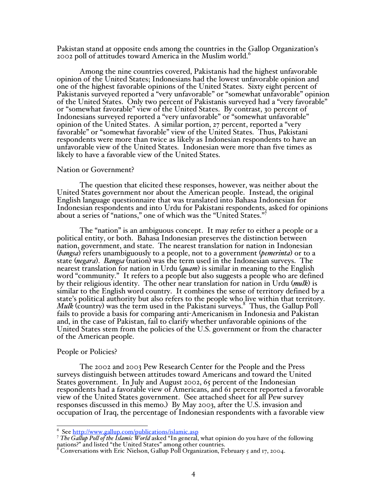Pakistan stand at opposite ends among the countries in the Gallop Organization's 2002 poll of attitudes toward America in the Muslim world.<sup>6</sup>

Among the nine countries covered, Pakistanis had the highest unfavorable opinion of the United States; Indonesians had the lowest unfavorable opinion and one of the highest favorable opinions of the United States. Sixty eight percent of Pakistanis surveyed reported a "very unfavorable" or "somewhat unfavorable" opinion<br>of the United States. Only two percent of Pakistanis surveyed had a "very favorable" or "somewhat favorable" view of the United States. By contrast, 30 percent of Indonesians surveyed reported <sup>a</sup> "very unfavorable" or "somewhat unfavorable" opinion of the United States. <sup>A</sup> similar portion, <sup>27</sup> percent, reported <sup>a</sup> "very favorable" or "somewhat favorable" view of the United States. Thus, Pakistani respondents were more than twice as likely as Indonesian respondents to have an unfavorable view of the United States. Indonesian were more than five times as likely to have a favorable view of the United States.

#### Nation or Government?

The question that elicited these responses, however, was neither about the United States government nor about the American people. Instead, the original English language questionnaire that was translated into Bahasa Indonesian for Indonesian respondents and into Urdu for Pakistani respondents, asked for opinions about a series of "nations," one of which was the "United States."<sup>7</sup>

The "nation" is an ambiguous concept. It may refer to either a people or a political entity, or both. Bahasa Indonesian preserves the distinction between nation, government, and state. The nearest translation for nation in Indonesian (*bangsa*) refers unambiguously to a people, not to a government (*pemerinta*) or to a state (*negara*). *Bangsa* (nation) was the term used in the Indonesian surveys. The nearest translation for nation in Urdu (*quam*) is similar in meaning to the English word "community." It refers to a people but also suggests a people who are defined by their religious identity. The other near translation for nation in Urdu (*mulk*) is similar to the English word country. It combines the sense of territory defined by a state's political authority but also refers to the people who live within that territory. state'<sup>s</sup> political authority but also refers to the people who live within that territory. *Mulk* (country) was the term used in the Pakistani surveys. <sup>8</sup> Thus, the Gallup Poll fails to provide a basis for comparing anti-Americanism in Indonesia and Pakistan and, in the case of Pakistan, fail to clarify whether unfavorable opinions of the United States stem from the policies of the U.S. government or from the character of the American people.

#### People or Policies?

The 2002 and 2003 Pew Research Center for the People and the Press surveys distinguish between attitudes toward Americans and toward the United States government. In July and August 2002, 65 percent of the Indonesian respondents had a favorable view of Americans, and 61 percent reported a favorable view of the United States government. (See attached sheet for all Pew survey responses discussed in this memo.) By May 2003, after the U.S. invasion and occupation of Iraq, the percentage of Indonesian respondents with a favorable view

<sup>6</sup> See http://www.gallup.com/publications/islamic.asp <sup>7</sup> *The Gallup Poll of the Islamic World* asked "In general, what opinion do you have of the following nations?" and listed "the United States" among other countries.<br><sup>8</sup> Conversations with Eric Nielson, Gallup Poll Organization, February 5 and 17, 2004.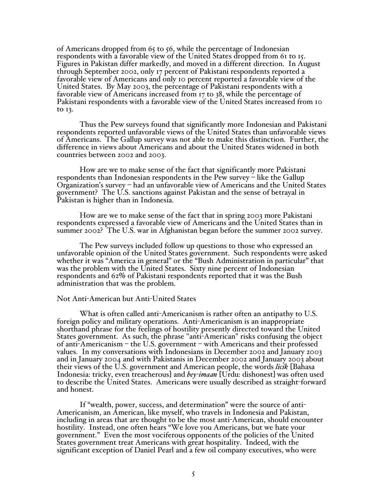of Americans dropped from 65 to 56, while the percentage of Indonesian<br>respondents with a favorable view of the United States dropped from 61 to 15. Figures in Pakistan differ markedly, and moved in a different direction. In August through September 2002, only 17 percent of Pakistani respondents reported a favorable view of Americans and only 10 percent reported a favorable view of the United States. By May 2003, the percentage of Pakistani respondents with a favorable view of Americans increased from 17 to 38, while the percentage of Pakistani respondents with a favorable view of the United States increased from 10 to 13.

Thus the Pew surveys found that significantly more Indonesian and Pakistani respondents reported unfavorable views of the United States than unfavorable views of Americans. The Gallup survey was not able to make this distinction. Further, the difference in views about Americans and about the United States widened in both countries between 2002 and 2003.

How are we to make sense of the fact that significantly more Pakistani respondents than Indonesian respondents in the Pew survey – like the Gallup Organization's survey – had an unfavorable view of Americans and the United States government? The U.S. sanctions against Pakistan and the sense of betrayal in Pakistan is higher than in Indonesia.

How are we to make sense of the fact that in spring 2003 more Pakistani respondents expressed a favorable view of Americans and the United States than in summer 2002? The U.S. war in Afghanistan began before the summer 2002 survey.

The Pew surveys included follow up questions to those who expressed an unfavorable opinion of the United States government. Such respondents were asked whether it was "America in general" or the "Bush Administration in particular" that was the problem with the United States. Sixty nine percent of Indonesian respondents and 62% of Pakistani respondents reported that it was the Bush administration that was the problem.

## Not Anti-American but Anti-United States

What is often called anti-Americanism is rather often an antipathy to U.S. foreign policy and military operations. Anti-Americanism is an inappropriate shorthand phrase for the feelings of hostility presently directed toward the United States government. As such, the phrase "anti-American" risks confusing the object of anti-Americanism – the U.S. government – with Americans and their professed values. In my conversations with Indonesians in December 2002 and January 2003 and in January 2004 and with Pakistanis in December 2002 and January 2003 about their views of the U.S. government and American people, the words *licik* [Bahasa Indonesia: tricky, even treacherous] and *bey-imaan* [Urdu: dishonest] was often used to describe the United States. Americans were usually described as straight-forward and honest.

If "wealth, power, success, and determination" were the source of anti-Americanism, an American, like myself, who travels in Indonesia and Pakistan, including in areas that are thought to be the most anti-American, should encounter hostility. Instead, one often hears "We love you Americans, but we hate your government." Even the most vociferous opponents of the policies of the United States government treat Americans with great hospitality. Indeed, with the significant exception of Daniel Pearl and a few oil company executives, who were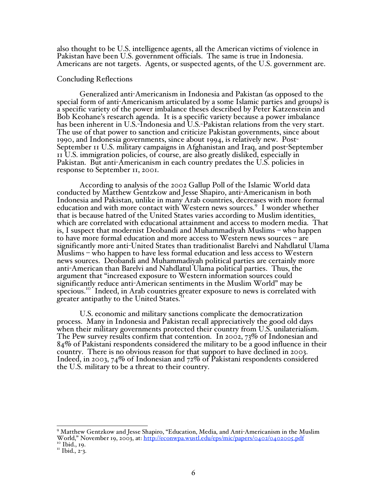also thought to be U.S. intelligence agents, all the American victims of violence in Pakistan have been U.S. government officials. The same is true in Indonesia. Americans are not targets. Agents, or suspected agents, of the U.S. government are.

#### Concluding Reflections

Generalized anti-Americanism in Indonesia and Pakistan (as opposed to the special form of anti-Americanism articulated by a some Islamic parties and groups) is a specific variety of the power imbalance theses described by Peter Katzenstein and Bob Keohane's research agenda. It is a specific variety because a power imbalance The use of that power to sanction and criticize Pakistan governments, since about 1990, and Indonesia governments, since about 1994, is relatively new. Post-September 11 U.S. military campaigns in Afghanistan and Iraq, and post-September 11 U.S. immigration policies, of course, are also greatly disliked, especially in Pakistan. But anti-Americanism in each country predates the U.S. policies in response to September 11, 2001.

According to analysis of the 2002 Gallup Poll of the Islamic World data conducted by Matthew Gentzkow and Jesse Shapiro, anti-Americanism in both Indonesia and Pakistan, unlike in many Arab countries, decreases with more formal education and with more contact with Western news sources. <sup>9</sup> I wonder whether that is because hatred of the United States varies according to Muslim identities, which are correlated with educational attainment and access to modern media. That is, I suspect that modernist Deobandi and Muhammadiyah Muslims – who happen to have more formal education and more access to Western news sources – are significantly more anti-United States than traditionalist Barelvi and Nahdlatul Ulama Muslims – who happen to have less formal education and less access to Western news sources. Deobandi and Muhammadiyah political parties are certainly more anti-American than Barelvi and Nahdlatul Ulama political parties. Thus, the argument that "increased exposure to Western information sources could significantly reduce anti-American sentiments in the Muslim World" may be specious.<sup>10</sup> Indeed, in Arab countries greater exposure to news is correlated with greater antipathy to the United States.

U.S. economic and military sanctions complicate the democratization process. Many in Indonesia and Pakistan recall appreciatively the good old days The Pew survey results confirm that contention. In 2002, 73% of Indonesian and 84% of Pakistani respondents considered the military to be a good influence in their country. There is no obvious reason for that support to have declined in 2003. Indeed, in 2003, 74% of Indonesian and 72% of Pakistani respondents considered the U.S. military to be a threat to their country.

<sup>9</sup> Matthew Gentzkow and Jesse Shapiro, "Education, Media, and Anti-Americanism in the Muslim World," November 19, 2003, at: http://econwpa.wustl.edu/eps/mic/papers/0402/0402005.pdf<br><sup>10</sup> Ibid., 19.<br><sup>11</sup> Ibid., 2-3.